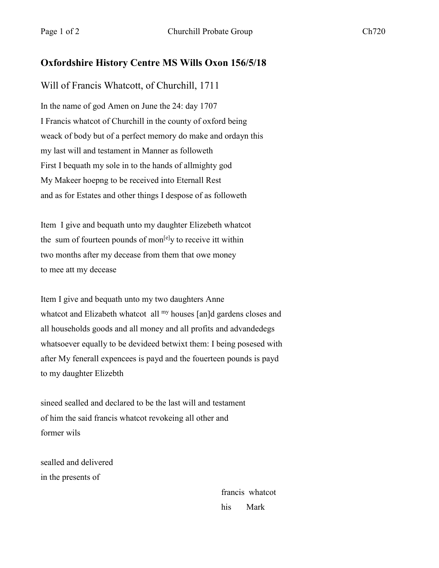## **Oxfordshire History Centre MS Wills Oxon 156/5/18**

## Will of Francis Whatcott, of Churchill, 1711

In the name of god Amen on June the 24: day 1707 I Francis whatcot of Churchill in the county of oxford being weack of body but of a perfect memory do make and ordayn this my last will and testament in Manner as followeth First I bequath my sole in to the hands of allmighty god My Makeer hoepng to be received into Eternall Rest and as for Estates and other things I despose of as followeth

Item I give and bequath unto my daughter Elizebeth whatcot the sum of fourteen pounds of mon $[e]$ y to receive itt within two months after my decease from them that owe money to mee att my decease

Item I give and bequath unto my two daughters Anne whatcot and Elizabeth whatcot all my houses [an]d gardens closes and all households goods and all money and all profits and advandedegs whatsoever equally to be devideed betwixt them: I being posesed with after My fenerall expencees is payd and the fouerteen pounds is payd to my daughter Elizebth

sineed sealled and declared to be the last will and testament of him the said francis whatcot revokeing all other and former wils

sealled and delivered in the presents of

> francis whatcot his Mark